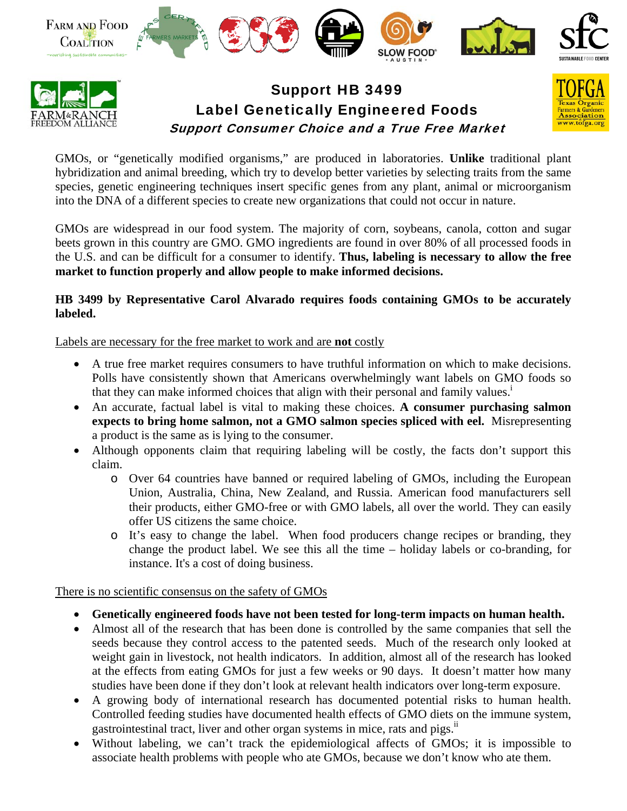



## Support HB 3499 Label Genetically Engineered Foods Support Consumer Choice and a True Free Market



GMOs, or "genetically modified organisms," are produced in laboratories. **Unlike** traditional plant hybridization and animal breeding, which try to develop better varieties by selecting traits from the same species, genetic engineering techniques insert specific genes from any plant, animal or microorganism into the DNA of a different species to create new organizations that could not occur in nature.

GMOs are widespread in our food system. The majority of corn, soybeans, canola, cotton and sugar beets grown in this country are GMO. GMO ingredients are found in over 80% of all processed foods in the U.S. and can be difficult for a consumer to identify. **Thus, labeling is necessary to allow the free market to function properly and allow people to make informed decisions.** 

## **HB 3499 by Representative Carol Alvarado requires foods containing GMOs to be accurately labeled.**

Labels are necessary for the free market to work and are **not** costly

- A true free market requires consumers to have truthful information on which to make decisions. Polls have consistently shown that Americans overwhelmingly want labels on GMO foods so that they can make informed choices that align with their personal and family values.<sup>i</sup>
- An accurate, factual label is vital to making these choices. **A consumer purchasing salmon expects to bring home salmon, not a GMO salmon species spliced with eel.** Misrepresenting a product is the same as is lying to the consumer.
- Although opponents claim that requiring labeling will be costly, the facts don't support this claim.
	- o Over 64 countries have banned or required labeling of GMOs, including the European Union, Australia, China, New Zealand, and Russia. American food manufacturers sell their products, either GMO-free or with GMO labels, all over the world. They can easily offer US citizens the same choice.
	- o It's easy to change the label. When food producers change recipes or branding, they change the product label. We see this all the time – holiday labels or co-branding, for instance. It's a cost of doing business.

There is no scientific consensus on the safety of GMOs

- **Genetically engineered foods have not been tested for long-term impacts on human health.**
- Almost all of the research that has been done is controlled by the same companies that sell the seeds because they control access to the patented seeds. Much of the research only looked at weight gain in livestock, not health indicators. In addition, almost all of the research has looked at the effects from eating GMOs for just a few weeks or 90 days. It doesn't matter how many studies have been done if they don't look at relevant health indicators over long-term exposure.
- A growing body of international research has documented potential risks to human health. Controlled feeding studies have documented health effects of GMO diets on the immune system, gastrointestinal tract, liver and other organ systems in mice, rats and pigs.<sup>ii</sup>
- Without labeling, we can't track the epidemiological affects of GMOs; it is impossible to associate health problems with people who ate GMOs, because we don't know who ate them.